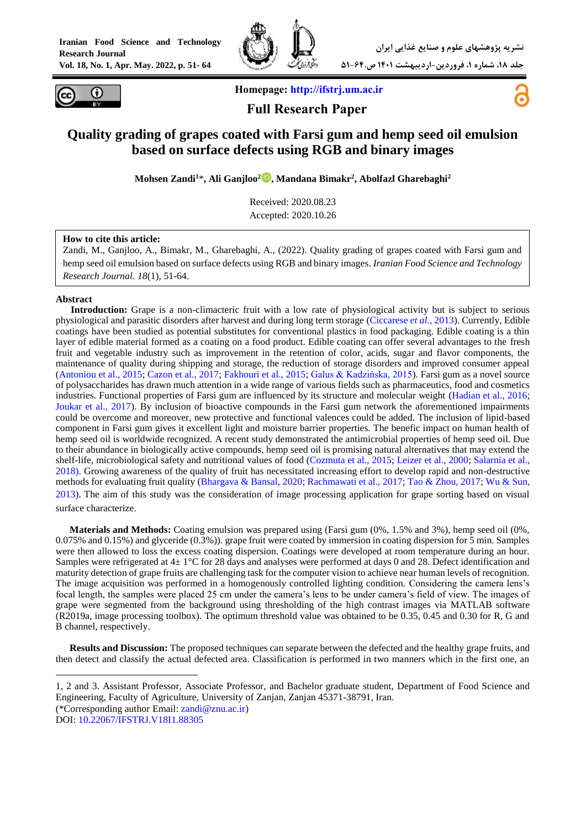



**Homepage: [http://ifstrj.um.ac.ir](http://ifstrj.um.ac.ir/)**





# **Quality grading of grapes coated with Farsi gum and hemp seed oil emulsion based on surface defects using RGB and binary images**

**Mohsen Zandi<sup>1</sup>**\***, Ali Ganjloo<sup>2</sup> [,](https://orcid.org/0000-0002-3298-4492) Mandana Bimakr<sup>2</sup> , Abolfazl Gharebaghi<sup>2</sup>**

Received: 2020.08.23 Accepted: 2020.10.26

#### **How to cite this article:**

Zandi, M., Ganjloo, A., Bimakr, M., Gharebaghi, A., (2022). Quality grading of grapes coated with Farsi gum and hemp seed oil emulsion based on surface defects using RGB and binary images. *Iranian Food Science and Technology Research Journal*. *18*(1), 51-64.

#### **Abstract**

**<sup>1</sup>Introduction:** Grape is a non-climacteric fruit with a low rate of physiological activity but is subject to serious physiological and parasitic disorders after harvest and during long term storage [\(Ciccarese](#page-12-0) *et al.*, 2013). Currently, Edible coatings have been studied as potential substitutes for conventional plastics in food packaging. Edible coating is a thin layer of edible material formed as a coating on a food product. Edible coating can offer several advantages to the fresh fruit and vegetable industry such as improvement in the retention of color, acids, sugar and flavor components, the maintenance of quality during shipping and storage, the reduction of storage disorders and improved consumer appeal [\(Antoniou et al., 2015;](#page-12-1) [Cazon et al., 2017;](#page-12-2) [Fakhouri et al., 2015;](#page-12-3) [Galus & Kadzińska, 2015\)](#page-12-4). Farsi gum as a novel source of polysaccharides has drawn much attention in a wide range of various fields such as pharmaceutics, food and cosmetics industries. Functional properties of Farsi gum are influenced by its structure and molecular weight [\(Hadian et al., 2016;](#page-12-5) [Joukar et al., 2017\)](#page-13-0). By inclusion of bioactive compounds in the Farsi gum network the aforementioned impairments could be overcome and moreover, new protective and functional valences could be added. The inclusion of lipid-based component in Farsi gum gives it excellent light and moisture barrier properties. The benefic impact on human health of hemp seed oil is worldwide recognized. A recent study demonstrated the antimicrobial properties of hemp seed oil. Due to their abundance in biologically active compounds, hemp seed oil is promising natural alternatives that may extend the shelf-life, microbiological safety and nutritional values of food [\(Cozmuta et al., 2015;](#page-12-6) [Leizer et al., 2000;](#page-13-1) [Salarnia et al.,](#page-13-2)  [2018\)](#page-13-2). Growing awareness of the quality of fruit has necessitated increasing effort to develop rapid and non-destructive methods for evaluating fruit quality [\(Bhargava & Bansal, 2020;](#page-12-7) [Rachmawati et al., 2017;](#page-13-3) [Tao & Zhou, 2017;](#page-13-4) [Wu & Sun,](#page-13-5)  [2013\)](#page-13-5). The aim of this study was the consideration of image processing application for grape sorting based on visual surface characterize.

**Materials and Methods:** Coating emulsion was prepared using (Farsi gum (0%, 1.5% and 3%), hemp seed oil (0%, 0.075% and 0.15%) and glyceride (0.3%)). grape fruit were coated by immersion in coating dispersion for 5 min. Samples were then allowed to loss the excess coating dispersion. Coatings were developed at room temperature during an hour. Samples were refrigerated at  $4\pm 1^{\circ}$ C for 28 days and analyses were performed at days 0 and 28. Defect identification and maturity detection of grape fruits are challenging task for the computer vision to achieve near human levels of recognition. The image acquisition was performed in a homogenously controlled lighting condition. Considering the camera lens's focal length, the samples were placed 25 cm under the camera's lens to be under camera's field of view. The images of grape were segmented from the background using thresholding of the high contrast images via MATLAB software (R2019a, image processing toolbox). The optimum threshold value was obtained to be 0.35, 0.45 and 0.30 for R, G and B channel, respectively.

**Results and Discussion:** The proposed techniques can separate between the defected and the healthy grape fruits, and then detect and classify the actual defected area. Classification is performed in two manners which in the first one, an

1

<sup>1, 2</sup> and 3. Assistant Professor, Associate Professor, and Bachelor graduate student, Department of Food Science and Engineering, Faculty of Agriculture, University of Zanjan, Zanjan 45371-38791, Iran. (\*Corresponding author Email: [zandi@znu.ac.ir\)](mailto:zandi@znu.ac.ir)

DOI: [10.22067/IFSTRJ.V18I1.88305](https://dx.doi.org/10.22067/ifstrj.v18i1.88305)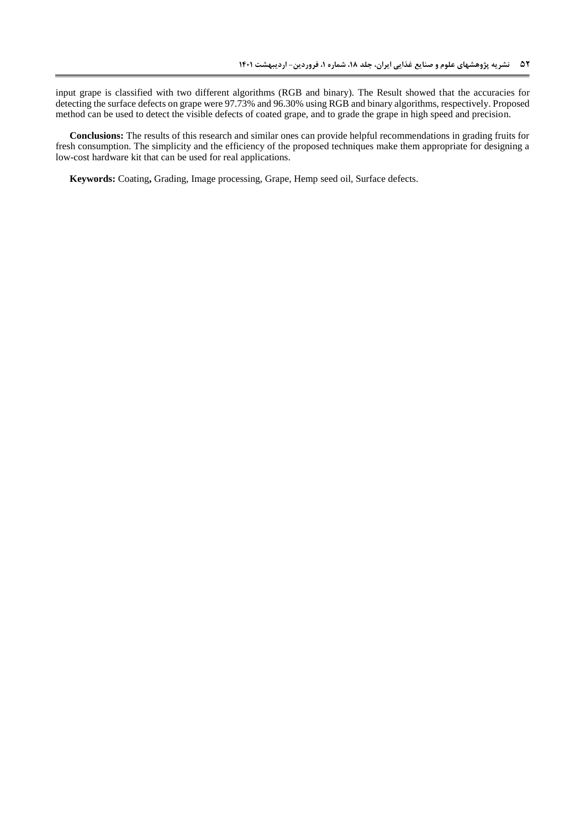input grape is classified with two different algorithms (RGB and binary). The Result showed that the accuracies for detecting the surface defects on grape were 97.73% and 96.30% using RGB and binary algorithms, respectively. Proposed method can be used to detect the visible defects of coated grape, and to grade the grape in high speed and precision.

**Conclusions:** The results of this research and similar ones can provide helpful recommendations in grading fruits for fresh consumption. The simplicity and the efficiency of the proposed techniques make them appropriate for designing a low-cost hardware kit that can be used for real applications.

**Keywords:** Coating**,** Grading, Image processing, Grape, Hemp seed oil, Surface defects.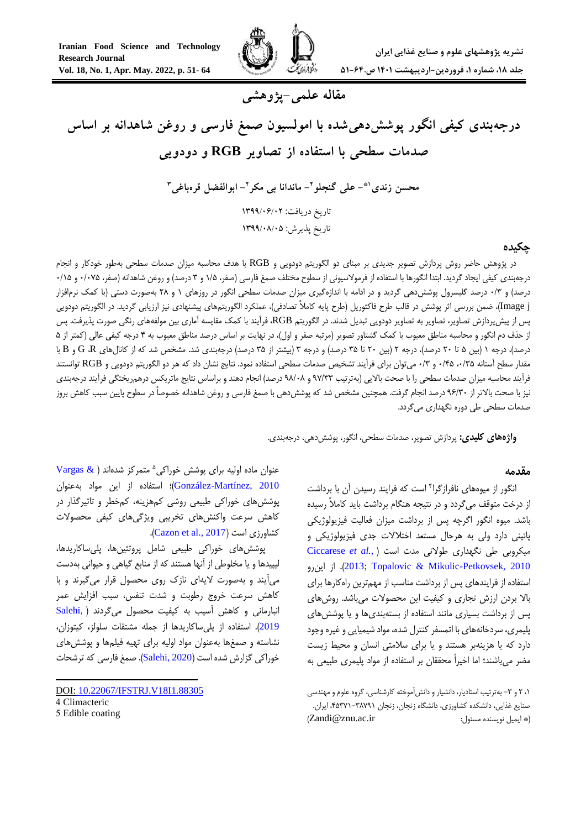

**مقاله علمی-پژوهشی**

**درجهبندی کیفی انگور پوششدهیشده با امولسیون صمغ فارسی و روغن شاهدانه بر اساس صدمات سطحی با استفاده از تصاویر RGB و دودویی**

> **- علی گنجلو 1\* محسن زندی 2 - ماندانا بی مکر - ابوالفضل قرهباغی <sup>2</sup> 3** تاریخ دریافت: ۱۳۹۹/۰۶/۰۲ تاریخ پذیرش: 9911/20/20

## **چکیده**

در پژوهش حاضر روش پردازش تصویر جدیدی بر مبنای دو الگوریتم دودویی و RGB با هدف محاسبه میزان صدمات سطحی بهطور خودکار و انجام درجهبندی کیفی ایجاد گردید. ابتدا انگورها با استفاده از فرمولاسیونی از سطوح مختلف صمغ فارسی (صفر، 1/۵ و ۳ درصد) و روغن شاهدانه (صفر، ۱۰۷۵+ و ۱۵/۰ درصد) و ۰/۳ درصد گلیسرول پوشش دهی گردید و در ادامه با اندازهگیری میزان صدمات سطحی انگور در روزهای ۱ و ۲۸ بهصورت دستی (با کمک نرمافزار j Image)، ضمن بررسی اثر پوشش در قالب طرح فاکتوریل )طرح پایه کامالً تصادفی(، عملکرد الگوریتمهای پیشنهادی نیز ارزیابی گردید. در الگوریتم دودویی پس از پیشپردازش تصاویر، تصاویر به تصاویر دودویی تبدیل شدند. در الگوریتم RGB، فرآیند با کمک مقایسه آماری بین مولفههای رنگی صورت پذیرفت. پس از حذف دم انگور و محاسبه مناطق معیوب با کمک گشتاور تصویر (مرتبه صفر و اول)، در نهایت بر اساس درصد مناطق معیوب به ۴ درجه کیفی عالی (کمتر از ۵ درصد)، درجه ۱ (بین ۵ تا ۲۰ درصد)، درجه ۲ (بین ۲۰ تا ۳۵ درصد) و درجه ۳ (بیشتر از ۳۵ درصد) درجهبندی شد. مشخص شد که از کانالهای G ،R و B با مقدار سطح آستانه ،5/35 5/45 و 5/3 میتوان برای فرآیند تشخیص صدمات سطحی استفاده نمود. نتایج نشان داد که هر دو الگوریتم دودویی و RGB توانستند فرآیند محاسبه میزان صدمات سطحی را با صحت باالیی )بهترتیب 77/33 و 72/52 درصد( انجام دهند و براساس نتایج ماتریکس درهمریختگی فرآیند درجهبندی نیز با صحت باالتر از 76/35 درصد انجام گرفت. همچنین مشخص شد که پوششدهی با صمغ فارسی و روغن شاهدانه خصوصاً در سطوح پایین سبب کاهش بروز صدمات سطحی طی دوره نگهداری میگردد.

**واژههای کلیدی:** پردازش تصویر، صدمات سطحی، انگور، پوششدهی، درجهبندی.

### **مقدمه**

انگور از میوههای نافرازگرا<sup>۴</sup> است که فرایند رسیدن آن با برداشت از درخت متوقف میگردد و در نتیجه هنگام برداشت باید کامالً رسیده باشد. میوه انگور اگرچه پس از برداشت میزان فعالیت فیزیولوژیکی پائینی دارد ولی به هرحال مستعد اختالالت جدی فیزیولوژیکی و میکروبی طی نگهداری طوالنی مدت است )*.*,*al et* [Ciccarese](#page-12-0) اینرو از .([2013](#page-12-0)[;](#page-12-0)[Topalovic & Mikulic-Petkovsek, 2010](#page-13-6) استفاده از فرایندهای پس از برداشت مناسب از مهمترین راهکارها برای باال بردن ارزش تجاری و کیفیت این محصوالت میباشد. روشهای پس از برداشت بسیاری مانند استفاده از بستهبندیها و یا پوششهای پلیمری، سردخانههای با اتمسفر کنترل شده، مواد شیمیایی و غیره وجود دارد که یا هزینهبر هستند و یا برای سالمتی انسان و محیط زیست مضر میباشند؛ اما اخیراً محققان بر استفاده از مواد پلیمری طبیعی به

،1 8 و -3 بهترتیب استادیار، دانشیار و دانشآموخته کارشناسی، گروه علوم و مهندسی صنایع غذایی، دانشکده کشاورزی، دانشگاه زنجان، زنجان ،45371-32771 ایران. )Zandi@znu.ac.ir :مسئول نویسنده ایمیل)\*

عنوان ماده اولیه برای پوشش خوراکی<sup>ه</sup> متمرکز شدهاند ( Vargas & [2010 ,Martínez-González](#page-13-7))؛ استفاده از این مواد بهعنوان پوششهای خوراکی طبیعی روشی کمهزینه، کمخطر و تاثیرگذار در کاهش سرعت واکنشهای تخریبی ویژگیهای کیفی محصوالت .)[Cazon et al., 2017](#page-12-2)( است کشاورزی

پوششهای خوراکی طبیعی شامل پروتئینها، پلیساکاریدها، لیپیدها و یا مخلوطی از آنها هستند که از منابع گیاهی و حیوانی بهدست میآیند و بهصورت الیهای نازک روی محصول قرار میگیرند و با کاهش سرعت خروج رطوبت و شدت تنفس، سبب افزایش عمر انبارمانی و کاهش آسیب به کیفیت محصول میگردند ) [,Salehi](#page-13-8) [2019](#page-13-8)(. استفاده از پلیساکاریدها از جمله مشتقات سلولز، کیتوزان، نشاسته و صمغها بهعنوان مواد اولیه برای تهیه فیلمها و پوششهای خوراکی گزارش شده است )[2020 ,Salehi](#page-13-9)). صمغ فارسی که ترشحات

**.** 

DOI: [10.22067/IFSTRJ.V18I1.88305](https://dx.doi.org/10.22067/ifstrj.v18i1.88305)

<sup>4</sup> Climacteric

<sup>5</sup> Edible coating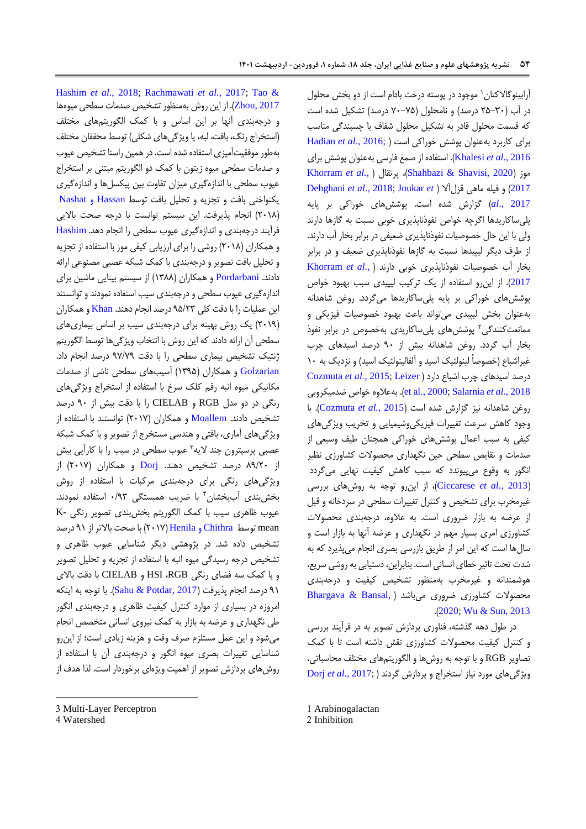ًرابینوگالاکتان` موجود در پوسته درخت بادام است از دو بخش محلول در آب )85-35 درصد( و نامحلول )75-75 درصد( تشکیل شده است که قسمت محلول قادر به تشکیل محلول شفاف با چسبندگی مناسب برای کاربرد بهعنوان پوشش خوراکی است [\)](#page-12-5) ;2016 .,*al et* [Hadian](#page-12-5) 2016 *.*,*al et* [Khalesi](#page-13-10)). استفاده از صمغ فارسی بهعنوان پوشش برای [Khorram](#page-13-12) *et al.*[,](#page-13-12) ( پرتقال ،(Shahbazi & [Shavisi, 2020](#page-13-11)( موز [Dehghani](#page-12-8) *et al*., 2018; [Joukar](#page-13-0) *et* [\(](#page-12-8) قزلآال ماهی فیله و( [2017](#page-13-12) [2017 .,](#page-13-0)*al* )گزارش شده است. پوششهای خوراکی بر پایه پلیساکاریدها اگرچه خواص نفوذناپذیری خوبی نسبت به گازها دارند ولی با این حال خصوصیات نفوذناپذیری ضعیفی در برابر بخار آب دارند. از طرف دیگر لیپیدها نسبت به گازها نفوذناپذیری ضعیف و در برابر بخار آب خصوصیات نفوذناپذیری خوبی دارند [\)](#page-13-12) *.,al et* [Khorram](#page-13-12) [2017](#page-13-12)(. از اینرو استفاده از یک ترکیب لیپیدی سبب بهبود خواص پوششهای خوراکی بر پایه پلیساکاریدها میگردد. روغن شاهدانه بهعنوان بخش لیپیدی میتواند باعث بهبود خصوصیات فیزیکی و ممانعتکنندگی<sup>۲</sup> پوششهای پل<sub>ی</sub>ساکاریدی بهخصوص در برابر نفوذ بخار آب گردد. روغن شاهدانه بیش از 75 درصد اسیدهای چرب غیراشباع (خصوصاً لینولئیک اسید و آلفالینولئیک اسید) و نزدیک به ۱۰ درصد اسیدهای چرب اشباع دارد )[Leizer;](#page-13-1) 2015 *.*,*al et* [Cozmuta](#page-12-6) ضدمیکروبی خواص بهعالوه .([et al., 2000;](#page-13-1) [Salarnia](#page-13-2) *et al*., 2018 روغن شاهدانه نیز گزارش شده است )2015 *.*,*al et* [Cozmuta](#page-12-6)). با وجود کاهش سرعت تغییرات فیزیکیوشیمیایی و تخریب ویژگیهای کیفی به سبب اعمال پوششهای خوراکی همچنان طیف وسیعی از صدمات و نقایص سطحی حین نگهداری محصوالت کشاورزی نظیر انگور به وقوع میپیوندد که سبب کاهش کیفیت نهایی میگردد )2013 *.*,*al et* [Ciccarese](#page-12-0))، از اینرو توجه به روشهای بررسی غیرمخرب برای تشخیص و کنترل تغییرات سطحی در سردخانه و قبل از عرضه به بازار ضروری است. به عالوه، درجهبندی محصوالت کشاورزی امری بسیار مهم در نگهداری و عرضه آنها به بازار است و سالها است که این امر از طریق بازرسی بصری انجام میپذیرد که به شدت تحت تاثیر خطای انسانی است. بنابراین، دستیابی به روشی سریع، هوشمندانه و غیرمخرب بهمنظور تشخیص کیفیت و درجهبندی محصوالت کشاورزی ضروری میباشد [\)](#page-12-7) [,Bansal & Bhargava](#page-12-7) .)[2020;](#page-12-7) [Wu & Sun, 2013](#page-13-5)

در طول دهه گذشته، فناوری پردازش تصویر به در فرآیند بررسی و کنترل کیفیت محصوالت کشاورزی تقش داشته است تا با کمک تصاویر RGB و با توجه به روشها و الگوریتمهای مختلف محاسباتی، ویژگیهای مورد نیاز استخراج و پردازش گردند ) [;2017](#page-12-9) *.*,*al et* Dorj

2 Inhibition

[Hashim](#page-12-10) *et al*., 2018; [Rachmawati](#page-13-3) *et al.*, 2017; [Tao &](#page-13-4)  [2017 ,Zhou](#page-13-4)). از این روش بهمنظور تشخیص صدمات سطحی میوهها و درجهبندی آنها بر این اساس و با کمک الگوریتمهای مختلف )استخراج رنگ، بافت، لبه، یا ویژگیهای شکلی( توسط محققان مختلف بهطور موفقیتآمیزی استفاده شده است. در همین راستا تشخیص عیوب و صدمات سطحی میوه زیتون با کمک دو الگوریتم مبتنی بر استخراج عیوب سطحی با اندازهگیری میزان تفاوت بین پیکسلها و اندازهگیری یکنواختی بافت و تجزیه و تحلیل بافت توسط [Hassan](#page-13-13) و Nashat )8512( انجام پذیرفت. این سیستم توانست با درجه صحت باالیی فرآیند درجهبندی و اندازهگیری عیوب سطحی را انجام دهد. [Hashim](#page-12-10) و همکاران (۲۰۱۸) روشی را برای ارزیابی کیفی موز با استفاده از تجزیه و تحلیل بافت تصویر و درجهبندی با کمک شبکه عصبی مصنوعی ارائه دادند. [Pordarbani](#page-13-14) و همکاران )1322( از سیستم بینایی ماشین برای اندازهگیری عیوب سطحی و درجهبندی سیب استفاده نمودند و توانستند این عملیات را با دقت کلی 75/83 درصد انجام دهند. [Khan](#page-13-15) و همکاران )8517( یک روش بهینه برای درجهبندی سیب بر اساس بیماریهای سطحی آن ارائه دادند که این روش با انتخاب ویژگیها توسط الگوریتم ژنتیک تشخیص بیماری سطحی را با دقت 77/77 درصد انجام داد. [Golzarian](#page-12-11) و همکاران )1375( آسیبهای سطحی ناشی از صدمات مکانیکی میوه انبه رقم کلک سرخ با استفاده از استخراج ویژگیهای رنگی در دو مدل RGB و CIELAB را با دقت بیش از 75 درصد تشخیص دادند. [Moallem](#page-13-16) و همکاران (۲۰۱۷) توانستند با استفاده از ویژگیهای آماری، بافتی و هندسی مستخرج از تصویر و با کمک شبکه عصبی پرسپترون چند لایه<sup>۳</sup> عیوب سطحی در سیب را با کارآیی بیش از ۸۹/۲۰ درصد تشخیص دهند. [Dorj](#page-12-9) و همکاران (۲۰۱۷) از ویژگیهای رنگی برای درجهبندی مرکبات با استفاده از روش 4 بخشبندی آبپخشان با ضریب همبستگی 5/73 استفاده نمودند. عیوب ظاهری سیب با کمک الگوریتم بخشبندی تصویر رنگی -K mean توسط [Chithra](#page-12-12) و Henila( 8517 )با صحت باالتر از 71 درصد تشخیص داده شد. در پژوهشی دیگر شناسایی عیوب ظاهری و تشخیص درجه رسیدگی میوه انبه با استفاده از تجزیه و تحلیل تصویر و با کمک سه فضای رنگی RGB، HSI و CIELAB با دقت باالی 71 درصد انجام پذیرفت )[2017 ,Potdar & Sahu](#page-13-17)). با توجه به اینکه امروزه در بسیاری از موارد کنترل کیفیت ظاهری و درجهبندی انگور طی نگهداری و عرضه به بازار به کمک نیروی انسانی متخصص انجام میشود و این عمل مستلزم صرف وقت و هزینه زیادی است؛ از اینرو شناسایی تغییرات بصری میوه انگور و درجهبندی آن با استفاده از روشهای پردازش تصویر از اهمیت ویژهای برخوردار است. لذا هدف از

-

<sup>1</sup> Arabinogalactan

<sup>3</sup> Multi-Layer Perceptron

<sup>4</sup> Watershed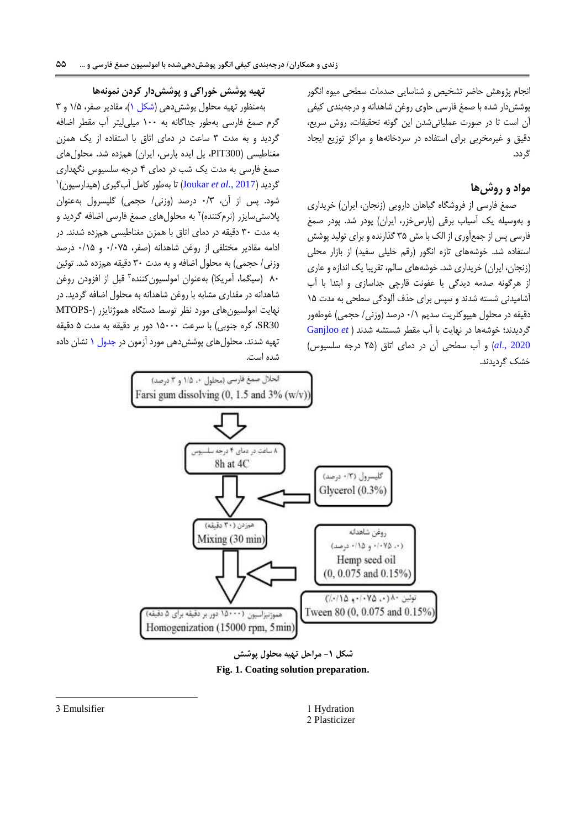انجام پژوهش حاضر تشخیص و شناسایی صدمات سطحی میوه انگور پوششدار شده با صمغ فارسی حاوی روغن شاهدانه و درجهبندی کیفی آن است تا در صورت عملیاتیشدن این گونه تحقیقات، روش سریع، دقیق و غیرمخربی برای استفاده در سردخانهها و مراکز توزیع ایجاد گردد.

# **مواد و روشها**

صمغ فارسی از فروشگاه گیاهان دارویی )زنجان، ایران( خریداری و بهوسیله یک آسیاب برقی (پارسخزر، ایران) پودر شد. پودر صمغ فارسی پس از جمعآوری از الک با مش 35 گذارنده و برای تولید پوشش استفاده شد. خوشههای تازه انگور (رقم خلیلی سفید) از بازار محلی )زنجان، ایران( خریداری شد. خوشههای سالم، تقریبا یک اندازه و عاری از هرگونه صدمه دیدگی یا عفونت قارچی جداسازی و ابتدا با آب آشامیدنی شسته شدند و سپس برای حذف آلودگی سطحی به مدت 15 دقیقه در محلول هیپوکلریت سدیم 5/1 درصد )وزنی/ حجمی( غوطهور گردیدند؛ خوشهها در نهایت با آب مقطر شستشه شدند [\)](#page-12-13) *et* [Ganjloo](#page-12-13) [2020 .,](#page-12-13)*al* )و آب سطحی آن در دمای اتاق )85 درجه سلسیوس( خشک گردیدند.

### **تهیه پوشش خوراکی و پوششدار کردن نمونهها**

بهمنظور تهیه محلول پوششدهی (شکل ۱)، مقادیر صفر، ۱/۵ و ۳ گرم صمغ فارسی بهطور جداگانه به 155 میلیلیتر آب مقطر اضافه گردید و به مدت 3 ساعت در دمای اتاق با استفاده از یک همزن مغناطیسی (PIT300، پل ایده پارس، ایران) همزده شد. محلولهای صمغ فارسی به مدت یک شب در دمای 4 درجه سلسیوس نگهداری 1 گردید )2017 *.*,*al et* [Joukar](#page-13-0) )تا بهطور کامل آبگیری )هیدارسیون( شود. پس از آن، 5/3 درصد )وزنی/ حجمی( گلیسرول بهعنوان پلاستیسایزر (نرمکننده)۲ به محلولهای صمغ فارسی اضافه گردید و به مدت 35 دقیقه در دمای اتاق با همزن مغناطیسی همزده شدند. در ادامه مقادیر مختلفی از روغن شاهدانه )صفر، 5/575 و 5/15 درصد وزنی/ حجمی) به محلول اضافه و به مدت ٣٠ دقیقه همزده شد. توئین ۸۰ (سیگما، أمریکا) بهعنوان امولسیونکننده۳ قبل از افزودن روغن شاهدانه در مقداری مشابه با روغن شاهدانه به محلول اضافه گردید. در نهایت امولسیونهای مورد نظر توسط دستگاه هموژنایزر )-MTOPS 30SR، کره جنوبی( با سرعت 15555 دور بر دقیقه به مدت 5 دقیقه تهیه شدند. محلولهای پوششدهی مورد آزمون در [جدول 1](#page-5-0) نشان داده شده است.

انحلال صمغ فارسی (محلول ١، ١/٥ و ٣ درصد)



**شکل -1 مراحل تهیه محلول پوشش Fig. 1. Coating solution preparation.**

<span id="page-4-0"></span>1 Hydration 2 Plasticizer

3 Emulsifier

-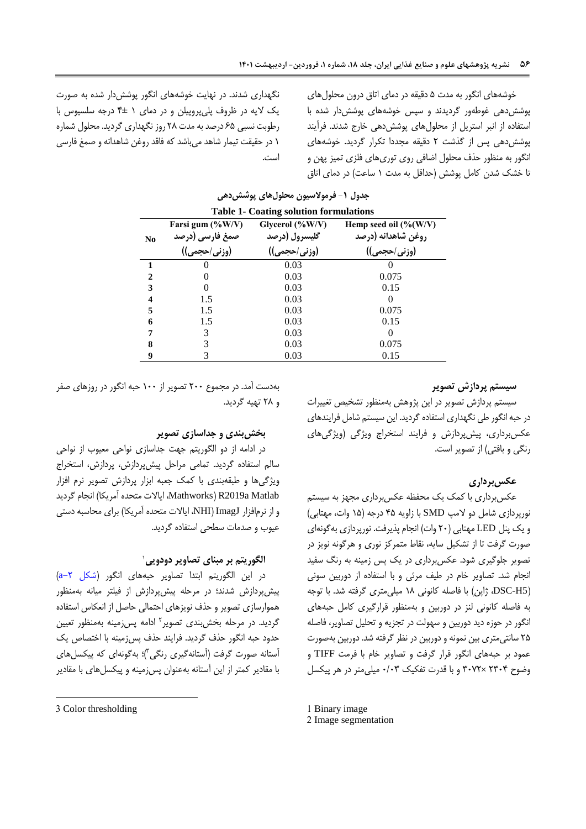<span id="page-5-0"></span>خوشههای انگور به مدت 5 دقیقه در دمای اتاق درون محلولهای پوششدهی غوطهور گردیدند و سپس خوشههای پوششدار شده با استفاده از انبر استریل از محلولهای پوششدهی خارج شدند. فرآیند پوششدهی پس از گذشت 8 دقیقه مجددا تکرار گردید. خوشههای انگور به منظور حذف محلول اضافی روی توریهای فلزی تمیز پهن و تا خشک شدن کامل پوشش (حداقل به مدت ۱ ساعت) در دمای اتاق

نگهداری شدند. در نهایت خوشههای انگور پوششدار شده به صورت یک الیه در ظروف پلیپروپیلن و در دمای 1 4± درجه سلسیوس با رطوبت نسبی 65 درصدبهمدت 82 روز نگهداری گردید. محلول شماره 1 در حقیقت تیمار شاهد میباشد که فاقد روغن شاهدانه و صمغ فارسی است.

|                             | <b>Table 1- Coating solution formulations</b> |                                     |                                                        |  |  |  |  |  |
|-----------------------------|-----------------------------------------------|-------------------------------------|--------------------------------------------------------|--|--|--|--|--|
| N <sub>0</sub>              | Farsi gum $(\%W/V)$<br>صمغ فارسی (درصد        | Glycerol $(\%W/V)$<br>گلیسرول (درصد | Hemp seed oil $(\%(\text{W/V}))$<br>روغن شاهدانه (درصد |  |  |  |  |  |
|                             | (وزني/حجمي))                                  | (وزنی/حجمی))                        | (وزنی/حجمی))                                           |  |  |  |  |  |
| 1                           |                                               | 0.03                                |                                                        |  |  |  |  |  |
| $\mathcal{D}_{\mathcal{A}}$ |                                               | 0.03                                | 0.075                                                  |  |  |  |  |  |
| 3                           | $_{0}$                                        | 0.03                                | 0.15                                                   |  |  |  |  |  |
| 4                           | 1.5                                           | 0.03                                |                                                        |  |  |  |  |  |
| 5                           | 1.5                                           | 0.03                                | 0.075                                                  |  |  |  |  |  |
| 6                           | 1.5                                           | 0.03                                | 0.15                                                   |  |  |  |  |  |
| 7                           | 3                                             | 0.03                                |                                                        |  |  |  |  |  |
| 8                           |                                               | 0.03                                | 0.075                                                  |  |  |  |  |  |
| 9                           |                                               | 0.03                                | 0.15                                                   |  |  |  |  |  |

## **جدول -1 فرموالسیون محلولهای پوششدهی**

### **سیستم پردازش تصویر**

سیستم پردازش تصویر در این پژوهش بهمنظور تشخیص تغییرات در حبه انگور طی نگهداری استفاده گردید. این سیستم شامل فرایندهای عکسبرداری، پیشپردازش و فرایند استخراج ویژگی (ویژگیهای رنگی و بافتی) از تصویر است.

### **عکسبرداری**

عکسبرداری با کمک یک محفظه عکسبرداری مجهز به سیستم نورپردازی شامل دو لامپ SMD با زاویه ۴۵ درجه (۱۵ وات، مهتابی) و یک پنل LED مهتابی )85 وات( انجام پذیرفت. نورپردازی بهگونهای صورت گرفت تا از تشکیل سایه، نقاط متمرکز نوری و هرگونه نویز در تصویر جلوگیری شود. عکسبرداری در یک پس زمینه به رنگ سفید انجام شد. تصاویر خام در طیف مرئی و با استفاده از دوربین سونی )5H-DSC، ژاپن( با فاصله کانونی 12 میلیمتری گرفته شد. با توجه به فاصله کانونی لنز در دوربین و بهمنظور قرارگیری کامل حبههای انگور در حوزه دید دوربین و سهولت در تجزیه و تحلیل تصاویر، فاصله 85 سانتیمتری بین نمونه و دوربین در نظر گرفته شد. دوربین بهصورت عمود بر حبههای انگور قرار گرفت و تصاویر خام با فرمت TIFF و وضوح 8354 ×3578 و با قدرت تفکیک 5/53 میلیمتر در هر پیکسل

2 Image segmentation

بهدست آمد. در مجموع 855 تصویر از 155 حبه انگور در روزهای صفر و 82 تهیه گردید.

#### **بخشبندی و جداسازی تصویر**

در ادامه از دو الگوریتم جهت جداسازی نواحی معیوب از نواحی سالم استفاده گردید. تمامی مراحل پیشپردازش، پردازش، استخراج ویژگیها و طبقهبندی با کمک جعبه ابزار پردازش تصویر نرم افزار Mathworks) R2019a Matlab، ایالات متحده آمریکا) انجام گردید و از نرمافزار ImagJ (NHI، ایالات متحده آمریکا) برای محاسبه دستی عیوب و صدمات سطحی استفاده گردید.

### 1 **الگوریتم بر مبنای تصاویر دودویی**

در این الگوریتم ابتدا تصاویر حبههای انگور (شکل ۲-a) پیشپردازش شدند؛ در مرحله پیشپردازش از فیلتر میانه بهمنظور هموارسازی تصویر و حذف نویزهای احتمالی حاصل از انعکاس استفاده گردید. در مرحله بخش بندی تصویر<sup>۲</sup> ادامه پس زمینه بهمنظور تعیین حدود حبه انگور حذف گردید. فرایند حذف پسزمینه با اختصاص یک استانه صورت گرفت (اَستانهگیری رنگی۳)؛ بهگونهای که پیکسلهای با مقادیر کمتر از این آستانه بهعنوان پسزمینه و پیکسلهای با مقادیر

-

<sup>1</sup> Binary image

<sup>3</sup> Color thresholding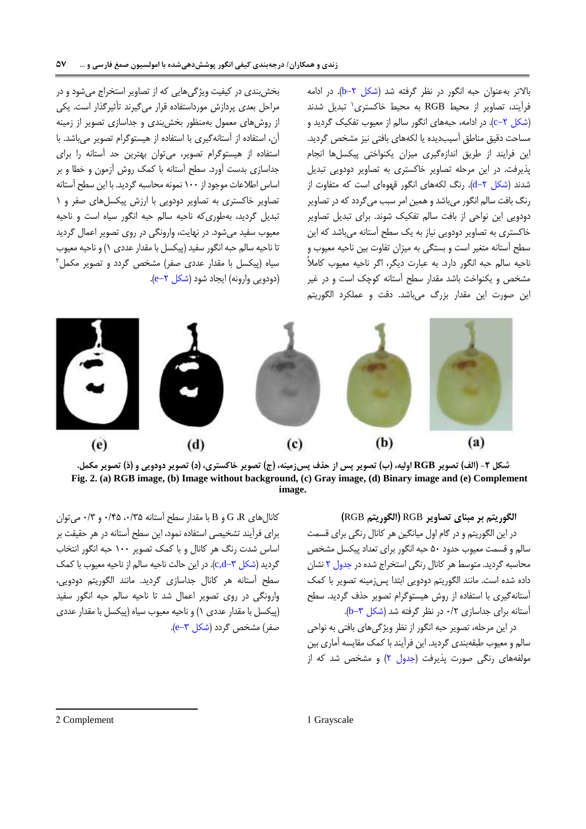باالتر بهعنوان حبه انگور در نظر گرفته شد [\)شکل -8](#page-6-0)b). در ادامه فرآیند، تصاویر از محیط RGB به محیط خاکستری` تبدیل شدند (شکل ۲–c). در ادامه، حبههای انگور سالم از معیوب تفکیک گردید و مساحت دقیق مناطق آسیبدیده یا لکههای بافتی نیز مشخص گردید. این فرایند از طریق اندازهگیری میزان یکنواختی پیکسلها انجام پذیرفت. در این مرحله تصاویر خاکستری به تصاویر دودویی تبدیل شدند (شکل ۲-d). رنگ لکههای انگور قهوهای است که متفاوت از رنگ بافت سالم انگور میباشد و همین امر سبب میگردد که در تصاویر دودویی این نواحی از بافت سالم تفکیک شوند. برای تبدیل تصاویر خاکستری به تصاویر دودویی نیاز به یک سطح آستانه میباشد که این سطح آستانه متغیر است و بستگی به میزان تفاوت بین ناحیه معیوب و ناحیه سالم حبه انگور دارد. به عبارت دیگر، اگر ناحیه معیوب کامالً مشخص و یکنواخت باشد مقدار سطح آستانه کوچک است و در غیر این صورت این مقدار بزرگ میباشد. دقت و عملکرد الگوریتم

بخشبندی در کیفیت ویژگیهایی که از تصاویر استخراج میشود و در مراحل بعدی پردازش مورداستفاده قرار میگیرند تأثیرگذار است. یکی از روشهای معمول بهمنظور بخشبندی و جداسازی تصویر از زمینه آن، استفاده از آستانهگیری با استفاده از هیستوگرام تصویر میباشد. با استفاده از هیستوگرام تصویر، میتوان بهترین حد آستانه را برای جداسازی بدست آورد. سطح آستانه با کمک روش آزمون و خطا و بر اساس اطالعات موجود از 155 نمونه محاسبه گردید. با این سطح آستانه تصاویر خاکستری به تصاویر دودویی با ارزش پیکسلهای صفر و 1 تبدیل گردید، بهطوریکه ناحیه سالم حبه انگور سیاه است و ناحیه معیوب سفید میشود. در نهایت، وارونگی در روی تصویر اعمال گردید تا ناحیه سالم حبه انگور سفید (پیکسل با مقدار عددی ۱) و ناحیه معیوب سیاه (پیکسل با مقدار عدد*ی صف*ر) مشخص گردد و تصویر مکمل<sup>۲</sup> (دودویی وارونه) ایجاد شود (شکل ۲−e).



شکل ۲- (الف) تصویر RGB اولیه، (ب) تصویر پس از حذف پسiدمینه، (ج) تصویر خاکستری، (د) تصویر دودویی و (ذ) تصویر مکمل. **Fig. 2. (a) RGB image, (b) Image without background, (c) Gray image, (d) Binary image and (e) Complement image.**

<span id="page-6-0"></span>**الگوریتم بر مبنای تصاویر** RGB**( الگوریتم** RGB**)** در این الگوریتم و در گام اول میانگین هر کانال رنگی برای قسمت سالم و قسمت معیوب حدود 55 حبه انگور برای تعداد پیکسل مشخص محاسبه گردید. متوسط هر کانال رنگی استخراج شده د[ر جدول 8](#page-7-0) نشان داده شده است. مانند الگوریتم دودویی ابتدا پسزمینه تصویر با کمک آستانهگیری با استفاده از روش هیستوگرام تصویر حذف گردید. سطح آستانه برای جداسازی ۰/۲ در نظر گرفته شد (شکل ۳-b).

در این مرحله، تصویر حبه انگور از نظر ویژگیهای بافتی به نواحی سالم و معیوب طبقهبندی گردید. این فرآیند با کمک مقایسه آماری بین مولفههای رنگی صورت پذیرفت (جدول ۲) و مشخص شد که از

کانال های G،R و B با مقدار سطح آستانه ۰/۳۵ ه ۰/۴۵ و ۰/۳ می توان برای فرآیند تشخیصی استفاده نمود، این سطح آستانه در هر حقیقت بر اساس شدت رنگ هر کانال و با کمک تصویر 155 حبه انگور انتخاب گردید (شکل ۳–c,d). در این حالت ناحیه سالم از ناحیه معیوب با کمک سطح آستانه هر کانال جداسازی گردید. مانند الگوریتم دودویی، وارونگی در روی تصویر اعمال شد تا ناحیه سالم حبه انگور سفید )پیکسل با مقدار عددی 1( و ناحیه معیوب سیاه )پیکسل با مقدار عددی صفر) مشخص گردد (شکل ۳–e).

2 Complement 1 Grayscale

1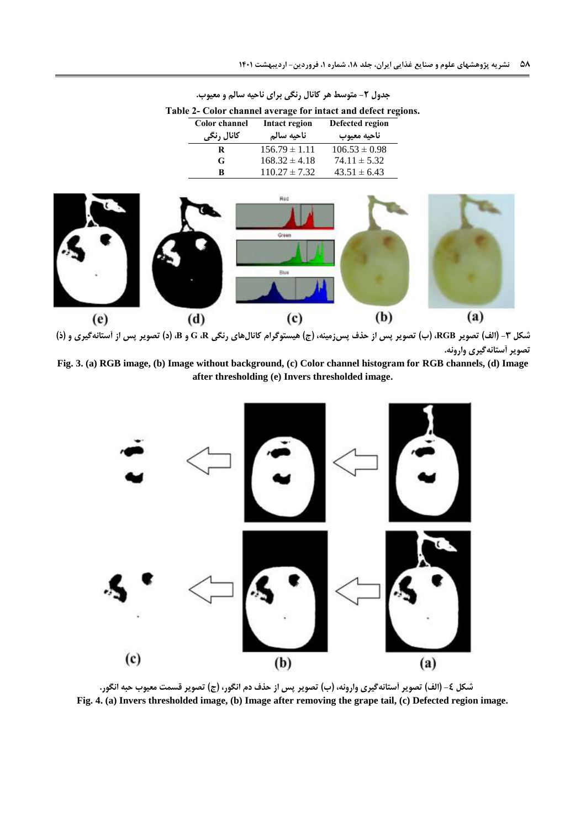<span id="page-7-1"></span>

|                                            | Table 2- Color channel average for intact and defect regions. |                                |  |  |
|--------------------------------------------|---------------------------------------------------------------|--------------------------------|--|--|
| <b>Color</b> channel<br>کانال رنگ <i>ی</i> | Intact region<br>ناحيه سالم                                   | Defected region<br>ناحيه معيوب |  |  |
| R                                          | $156.79 \pm 1.11$                                             | $106.53 \pm 0.98$              |  |  |
| G                                          | $168.32 \pm 4.18$                                             | $74.11 \pm 5.32$               |  |  |
| B                                          | $110.27 \pm 7.32$                                             | $43.51 \pm 6.43$               |  |  |
|                                            |                                                               |                                |  |  |

<span id="page-7-0"></span>**جدول -2 متوسط هر کانال رنگی برای ناحیه سالم و معیوب.**



**شکل -3 )الف( تصویر RGB،( ب( تصویر پس از حذف پسزمینه، )ج( هیستوگرام کانالهای رنگی R، G و B،( د( تصویر پس از آستانهگیری و )ذ( تصویر آستانهگیری وارونه.**

**Fig. 3. (a) RGB image, (b) Image without background, (c) Color channel histogram for RGB channels, (d) Image after thresholding (e) Invers thresholded image.**



<span id="page-7-2"></span>**شکل -4 )الف( تصویر آستانهگیری وارونه، )ب( تصویر پس از حذف دم انگور، )ج( تصویر قسمت معیوب حبه انگور. Fig. 4. (a) Invers thresholded image, (b) Image after removing the grape tail, (c) Defected region image.**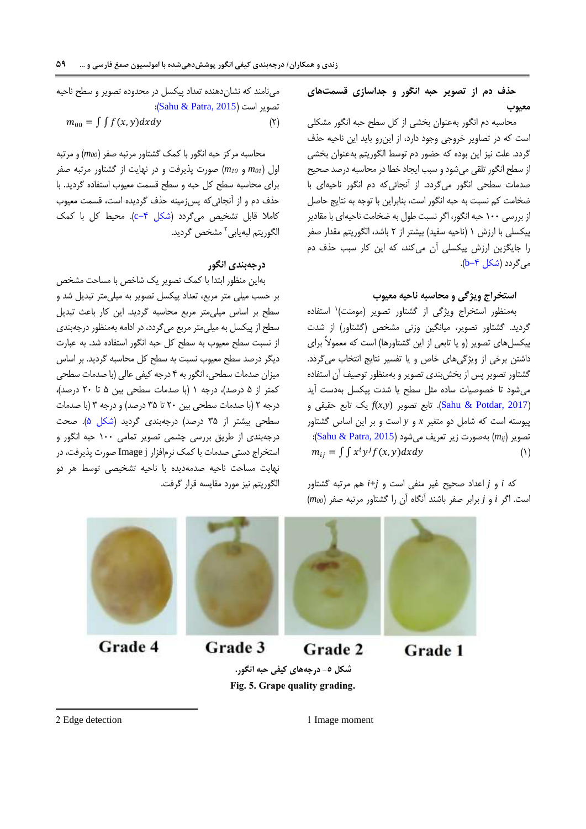**حذف دم از تصویر حبه انگور و جداسازی قسمتهای معیوب**

محاسبه دم انگور بهعنوان بخشی از کل سطح حبه انگور مشکلی است که در تصاویر خروجی وجود دارد، از اینرو باید این ناحیه حذف گردد. علت نیز این بوده که حضور دم توسط الگوریتم بهعنوان بخشی از سطح انگور تلقی میشود و سبب ایجاد خطا در محاسبه درصد صحیح صدمات سطحی انگور میگردد. از آنجائیکه دم انگور ناحیهای با ضخامت کم نسبت به حبه انگور است، بنابراین با توجه به نتایج حاصل از بررسی 155 حبه انگور، اگر نسبت طول به ضخامت ناحیهای با مقادیر پیکسلی با ارزش ۱ (ناحیه سفید) بیشتر از ۲ باشد، الگوریتم مقدار صفر را جایگزین ارزش پیکسلی آن میکند، که این کار سبب حذف دم م*ی گ*ردد (شکل ۴−b).

### **استخراج ویژگی و محاسبه ناحیه معیوب**

بهمنظور استخراج ویژگی از گشتاور تصویر (مومنت)<sup>۱</sup> استفاده گردید. گشتاور تصویر، میانگین وزنی مشخص )گشتاور( از شدت پیکسلهای تصویر (و یا تابعی از این گشتاورها) است که معمولاً برای داشتن برخی از ویژگیهای خاص و یا تفسیر نتایج انتخاب میگردد. گشتاور تصویر پس از بخشبندی تصویر و بهمنظور توصیف آن استفاده میشود تا خصوصیات ساده مثل سطح یا شدت پیکسل بهدست آید )[2017 ,Potdar & Sahu](#page-13-17)). تابع تصویر (*y*,*x*(*f* یک تابع حقیقی و پیوسته است که شامل دو متغیر *x* و *y* است و بر این اساس گشتاور تصویر )*mij* )بهصورت زیر تعریف میشود )[2015 ,Patra & Sahu](#page-13-18)):  $m_{ij} = \int \int x^i y^j f(x, y) dx dy$  ()

که *i* و *j* اعداد صحیح غیر منفی است و *j*+*i* هم مرتبه گشتاور است. اگر *i* و *j* برابر صفر باشند آنگاه آن را گشتاور مرتبه صفر )*00m* )

مینامند که نشاندهنده تعداد پیکسل در محدوده تصویر و سطح ناحیه تصویر است (Sahu & Patra, 2015):

$$
m_{00} = \iint f(x, y) dx dy
$$
 (7)

محاسبه مرکز حبه انگور با کمک گشتاور مرتبه صفر )*00m* )و مرتبه اول )*01m* و *<sup>10</sup>m* )صورت پذیرفت و در نهایت از گشتاور مرتبه صفر برای محاسبه سطح کل حبه و سطح قسمت معیوب استفاده گردید. با حذف دم و از آنجائیکه پسزمینه حذف گردیده است، قسمت معیوب کاملا قابل تشخیص میگردد (شکل ۴-c). محیط کل با کمک لگوریتم لبهیابی<sup>۲</sup> مشخص گردید.

## **درجهبندی انگور**

بهاین منظور ابتدا با کمک تصویر یک شاخص با مساحت مشخص بر حسب میلی متر مربع، تعداد پیکسل تصویر به میلیمتر تبدیل شد و سطح بر اساس میلیمتر مربع محاسبه گردید. این کار باعث تبدیل سطح از پیکسل به میلیمتر مربع میگردد، در ادامه بهمنظور درجهبندی از نسبت سطح معیوب به سطح کل حبه انگور استفاده شد. به عبارت دیگر درصد سطح معیوب نسبت به سطح کل محاسبه گردید. بر اساس میزان صدمات سطحی، انگور به 4 درجه کیفی عالی )با صدمات سطحی کمتر از 5 درصد(، درجه 1 )با صدمات سطحی بین 5 تا 85 درصد(، درجه 8 )با صدمات سطحی بین 85 تا 35 درصد( و درجه 3 )با صدمات سطحی بیشتر از 35 درصد( درجهبندی گردید [\)شکل 5\(](#page-8-0). صحت درجهبندی از طریق بررسی چشمی تصویر تمامی 155 حبه انگور و استخراج دستی صدمات با کمک نرمافزار j Image صورت پذیرفت، در نهایت مساحت ناحیه صدمهدیده با ناحیه تشخیصی توسط هر دو الگوریتم نیز مورد مقایسه قرار گرفت.



**شکل -5 درجههای کیفی حبه انگور. Fig. 5. Grape quality grading.** <span id="page-8-0"></span>Grade 1

2 Edge detection 1 Image moment

1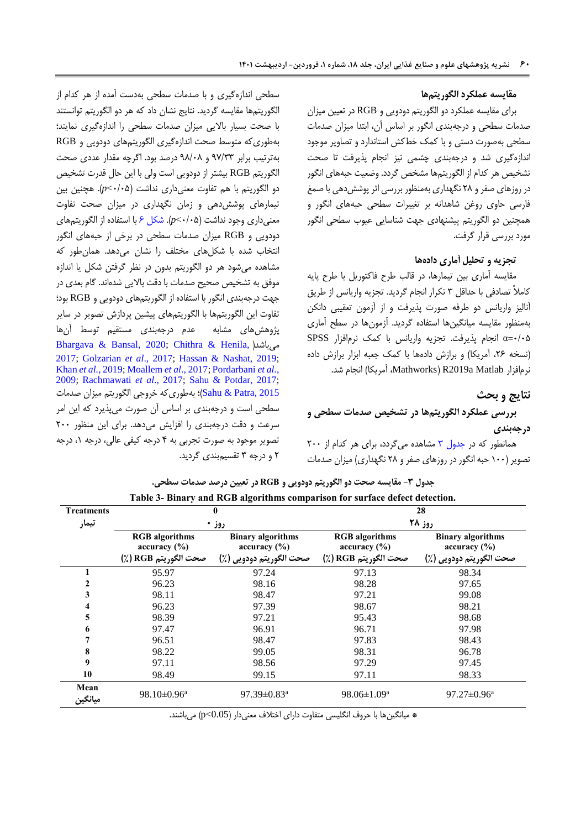### **مقایسه عملکرد الگوریتمها**

برای مقایسه عملکرد دو الگوریتم دودویی و RGB در تعیین میزان صدمات سطحی و درجهبندی انگور بر اساس آن، ابتدا میزان صدمات سطحی بهصورت دستی و با کمک خطکش استاندارد و تصاویر موجود اندازهگیری شد و درجهبندی چشمی نیز انجام پذیرفت تا صحت تشخیص هر کدام از الگوریتمها مشخص گردد. وضعیت حبههای انگور در روزهای صفر و 82 نگهداری بهمنظور بررسی اثر پوششدهی با صمغ فارسی حاوی روغن شاهدانه بر تغییرات سطحی حبههای انگور و همچنین دو الگوریتم پیشنهادی جهت شناسایی عیوب سطحی انگور مورد بررسی قرار گرفت.

### **تجزیه و تحلیل آماری دادهها**

مقایسه آماری بین تیمارها، در قالب طرح فاکتوریل با طرح پایه کامالً تصادفی با حداقل 3 تکرار انجام گردید. تجزیه واریانس از طریق آنالیز واریانس دو طرفه صورت پذیرفت و از آزمون تعقیبی دانکن بهمنظور مقایسه میانگینها استفاده گردید. آزمونها در سطح آماری 5/55=α انجام پذیرفت. تجزیه واریانس با کمک نرمافزار SPSS (نسخه ٢۶، آمریکا) و برازش دادهها با کمک جعبه ابزار برازش داده نرمافزار Mathworks) R2019a Matlab، آمریکا) انجام شد.

### <span id="page-9-0"></span>**نتایج و بحث**

# **بررسی عملکرد الگوریتمها در تشخیص صدمات سطحی و درجهبندی**

همانطور که در جدول ۳ مشاهده می گردد، برای هر کدام از ۲۰۰ تصویر )155 حبه انگور در روزهای صفر و 82 نگهداری( میزان صدمات

سطحی اندازهگیری و با صدمات سطحی بهدست آمده از هر کدام از الگوریتمها مقایسه گردید. نتایج نشان داد که هر دو الگوریتم توانستند با صحت بسیار باالیی میزان صدمات سطحی را اندازهگیری نمایند؛ بهطوریکه متوسط صحت اندازهگیری الگوریتمهای دودویی و RGB بهترتیب برابر 77/33 و 72/52 درصد بود. اگرچه مقدار عددی صحت الگوریتم RGB بیشتر از دودویی است ولی با این حال قدرت تشخیص دو الگوریتم با هم تفاوت معنیداری نداشت )5/55˂*p*). هچنین بین تیمارهای پوششدهی و زمان نگهداری در میزان صحت تفاوت معنیداری وجود نداشت )5/55˂*p*). [شکل](#page-10-0) 6 با استفاده از الگوریتمهای دودویی و RGB میزان صدمات سطحی در برخی از حبههای انگور انتخاب شده با شکلهای مختلف را نشان میدهد. همانطور که مشاهده میشود هر دو الگوریتم بدون در نظر گرفتن شکل یا اندازه موفق به تشخیص صحیح صدمات با دقت باالیی شدهاند. گام بعدی در جهت درجهبندی انگور با استفاده از الگوریتمهای دودویی و RGB بود؛ تفاوت این الگوریتمها با الگوریتمهای پیشین پردازش تصویر در سایر پژوهشهای مشابه عدم درجهبندی مستقیم توسط آنها [Bhargava & Bansal, 2020;](#page-12-7) [Chithra & Henila,](#page-12-12) [\(](#page-12-7)میباشد [2017;](#page-12-12) [Golzarian](#page-12-11) *et al*., 2017; [Hassan & Nashat, 2019;](#page-13-13) Khan *et al.*[, 2019;](#page-13-15) [Moallem](#page-13-16) *et al*., 2017[; Pordarbani](#page-13-14) *et al*., [2009;](#page-13-14) [Rachmawati](#page-13-3) *et al*., 2017; [Sahu & Potdar, 2017;](#page-13-17) [2015 ,Patra & Sahu](#page-13-18))؛ بهطوریکه خروجی الگوریتم میزان صدمات سطحی است و درجهبندی بر اساس آن صورت میپذیرد که این امر سرعت و دقت درجهبندی را افزایش میدهد. برای این منظور 855 تصویر موجود به صورت تجربی به 4 درجه کیفی عالی، درجه ،1 درجه 8 و درجه 3 تقسیمبندی گردید.

|                   |                                       | Table 3- Binary and RGB algorithms comparison for surface defect detection. |                                       |                                          |
|-------------------|---------------------------------------|-----------------------------------------------------------------------------|---------------------------------------|------------------------------------------|
| <b>Treatments</b> |                                       |                                                                             |                                       | 28                                       |
| تيمار             |                                       | روز •                                                                       |                                       | روز ۲۸                                   |
|                   | <b>RGB</b> algorithms<br>accuracy (%) | <b>Binary algorithms</b><br>accuracy (%)                                    | <b>RGB</b> algorithms<br>accuracy (%) | <b>Binary algorithms</b><br>accuracy (%) |
|                   | صحت الگوريتم RGB (٪)                  | صحت الگوريتم دودويي (٪)                                                     | صحت الگوريتم RGB (٪)                  | صحت الگوريتم دودويي (٪)                  |
|                   | 95.97                                 | 97.24                                                                       | 97.13                                 | 98.34                                    |
| 2                 | 96.23                                 | 98.16                                                                       | 98.28                                 | 97.65                                    |
| 3                 | 98.11                                 | 98.47                                                                       | 97.21                                 | 99.08                                    |
| 4                 | 96.23                                 | 97.39                                                                       | 98.67                                 | 98.21                                    |
| 5                 | 98.39                                 | 97.21                                                                       | 95.43                                 | 98.68                                    |
| 6                 | 97.47                                 | 96.91                                                                       | 96.71                                 | 97.98                                    |
| 7                 | 96.51                                 | 98.47                                                                       | 97.83                                 | 98.43                                    |
| 8                 | 98.22                                 | 99.05                                                                       | 98.31                                 | 96.78                                    |
| 9                 | 97.11                                 | 98.56                                                                       | 97.29                                 | 97.45                                    |
| 10                | 98.49                                 | 99.15                                                                       | 97.11                                 | 98.33                                    |
| Mean<br>ميانگين   | $98.10 \pm 0.96^a$                    | 97.39 $\pm$ 0.83 <sup>a</sup>                                               | $98.06 \pm 1.09^a$                    | $97.27 \pm 0.96^{\text{a}}$              |

**جدول -3 مقایسه صحت دو الگوریتم دودویی و RGB در تعیین درصد صدمات سطحی.**

\* میانگینها با حروف انگلیسی متفاوت دارای اختالف معنیدار )0.05>p )میباشند.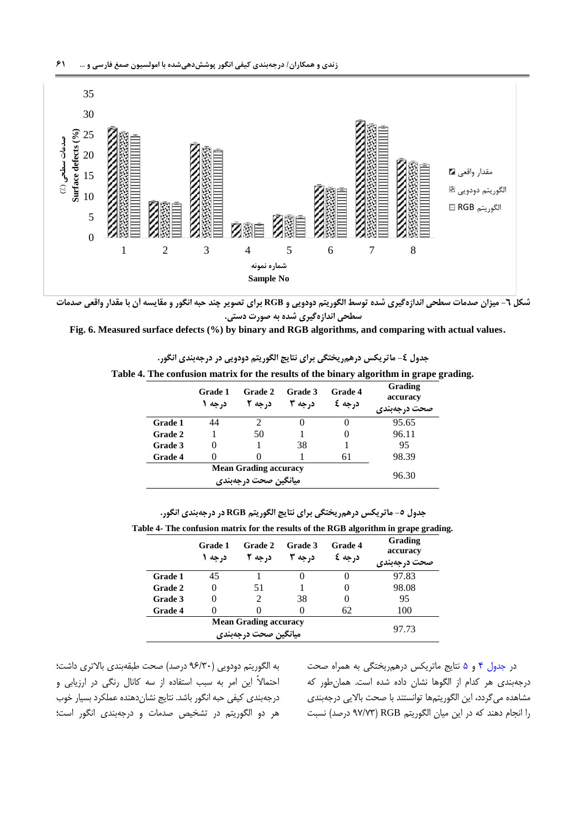

**شکل -6 میزان صدمات سطحی اندازهگیری شده توسط الگوریتم دودویی و RGB برای تصویر چند حبه انگور و مقایسه آن با مقدار واقعی صدمات سطحی اندازهگیری شده به صورت دستی.**

**Fig. 6. Measured surface defects (%) by binary and RGB algorithms, and comparing with actual values.**

<span id="page-10-1"></span><span id="page-10-0"></span>

|  | Table 4. The confusion matrix for the results of the binary algorithm in grape grading. |  |  |  |  |  |  |  |
|--|-----------------------------------------------------------------------------------------|--|--|--|--|--|--|--|
|--|-----------------------------------------------------------------------------------------|--|--|--|--|--|--|--|

|                | Grade 1<br>د, جه ۱ | <b>Grade 2</b><br>د, جه ۲ | Grade 3<br>درجه ۳ | <b>Grade 4</b><br>درجه کا | Grading<br>accuracy<br>صحت درجهبندي |
|----------------|--------------------|---------------------------|-------------------|---------------------------|-------------------------------------|
| Grade 1        | 44                 |                           |                   |                           | 95.65                               |
| Grade 2        |                    | 50                        |                   |                           | 96.11                               |
| Grade 3        |                    |                           | 38                |                           | 95                                  |
| <b>Grade 4</b> |                    |                           |                   | 61                        | 98.39                               |
|                | 96.30              |                           |                   |                           |                                     |

**جدول -5 ماتریکس درهمریختگی برای نتایج الگوریتم RGB در درجهبندی انگور.**

|                | Grade 1<br>د, جه ۱ | <b>Grade 2</b><br>د, جه ۲                            | Grade 3<br>د, جه ۳ | <b>Grade 4</b><br>درجه کا | Grading<br>accuracy<br>صحت درجهبندی |
|----------------|--------------------|------------------------------------------------------|--------------------|---------------------------|-------------------------------------|
| Grade 1        | 45                 |                                                      |                    | 0                         | 97.83                               |
| <b>Grade 2</b> | $\Omega$           | 51                                                   |                    | $\theta$                  | 98.08                               |
| Grade 3        |                    | 2                                                    | 38                 | $\theta$                  | 95                                  |
| <b>Grade 4</b> |                    |                                                      |                    | 62                        | 100                                 |
|                |                    | <b>Mean Grading accuracy</b><br>میانگین صحت درجهبندی |                    |                           | 97.73                               |

<span id="page-10-2"></span>در [جدول](#page-10-1) 4 و [5](#page-10-2) نتایج ماتریکس درهمریختگی به همراه صحت درجهبندی هر کدام از الگوها نشان داده شده است. همانطور که مشاهده میگردد، این الگوریتمها توانستند با صحت باالیی درجهبندی را انجام دهند که در این میان الگوریتم RGB( 77/73 درصد( نسبت

به الگوریتم دودویی )76/35 درصد( صحت طبقهبندی باالتری داشت؛ احتماالً این امر به سبب استفاده از سه کانال رنگی در ارزیابی و درجهبندی کیفی حبه انگور باشد. نتایج نشاندهنده عملکرد بسیار خوب هر دو الگوریتم در تشخیص صدمات و درجهبندی انگور است؛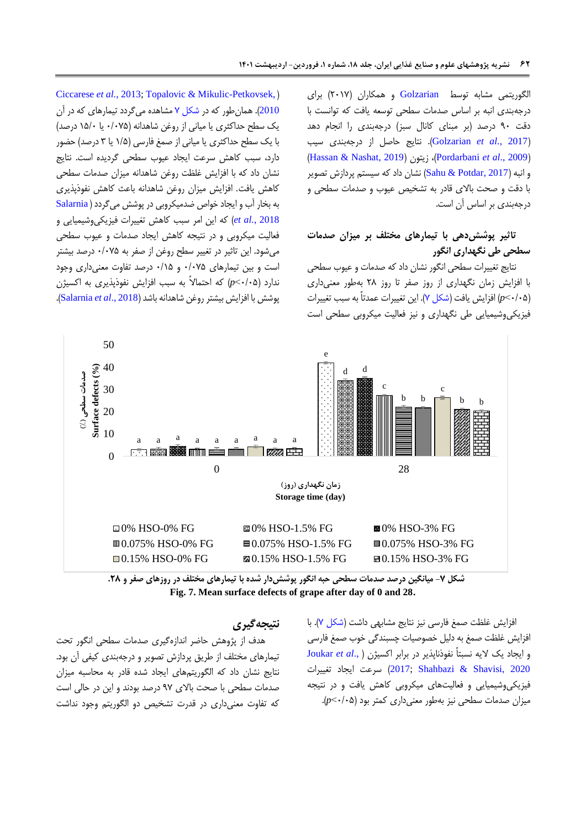الگوریتمی مشابه توسط [Golzarian](#page-12-11) و همکاران (۲۰۱۷) برای درجهبندی انبه بر اساس صدمات سطحی توسعه یافت که توانست با دقت 75 درصد )بر مبنای کانال سبز( درجهبندی را انجام دهد )2017 *.*,*al et* [Golzarian](#page-12-11)). نتایج حاصل از درجهبندی سیب )[Hassan & Nashat, 2019](#page-13-13)( زیتون ،([Pordarbani](#page-13-14) *et al*., 2009( و انبه (2017 ,Potdar & Potdar ) نشان داد که سیستم پردازش تصویر با دقت و صحت باالی قادر به تشخیص عیوب و صدمات سطحی و درجهبندی بر اساس آن است.

# **تاثیر پوششدهی با تیمارهای مختلف بر میزان صدمات سطحی طی نگهداری انگور**

نتایج تغییرات سطحی انگور نشان داد که صدمات و عیوب سطحی با افزایش زمان نگهداری از روز صفر تا روز 82 بهطور معنیداری )5/55˂*p* )افزایش یافت [\)شکل 7\(.](#page-11-0) این تغییرات عمدتاً به سبب تغییرات فیزیکیوشیمیایی طی نگهداری و نیز فعالیت میکروبی سطحی است

[Ciccarese](#page-12-0) et al., 2013; [Topalovic & Mikulic-Petkovsek,](#page-13-6)) [2010](#page-13-6)(. همانطور که در [شکل 7](#page-11-0) مشاهده میگردد تیمارهای که در آن یک سطح حداکثری یا میانی از روغن شاهدانه )5/575 یا 15/5 درصد( با یک سطح حداکثری یا میانی از صمغ فارسی )1/5 یا 3 درصد( حضور دارد، سبب کاهش سرعت ایجاد عیوب سطحی گردیده است. نتایج نشان داد که با افزایش غلظت روغن شاهدانه میزان صدمات سطحی کاهش یافت. افزایش میزان روغن شاهدانه باعث کاهش نفوذپذیری به بخار آب و ایجاد خواص ضدمیکروبى در پوشش مىگردد ) [Salarnia](#page-13-2) [2018](#page-13-2) *.*,*al et* )که این امر سبب کاهش تغییرات فیزیکیوشیمیایی و فعالیت میکروبی و در نتیجه کاهش ایجاد صدمات و عیوب سطحی میشود. این تاثیر در تغییر سطح روغن از صفر به 5/575 درصد بیشتر است و بین تیمارهای 5/575 و 5/15 درصد تفاوت معنیداری وجود ندارد )5/55˂*p* )که احتماالً به سبب افزایش نفوذپذیری به اکسیژن پوشش با افزایش بیشتر روغن شاهدانه باشد )2018 .,*al et* [Salarnia](#page-13-2)).



**شکل -7 میانگین درصد صدمات سطحی حبه انگور پوششدار شده با تیمارهای مختلف در روزهای صفر و .22 Fig. 7. Mean surface defects of grape after day of 0 and 28.**

### **نتیجهگیری**

هدف از پژوهش حاضر اندازهگیری صدمات سطحی انگور تحت تیمارهای مختلف از طریق پردازش تصویر و درجهبندی کیفی آن بود. نتایج نشان داد که الگوریتمهای ایجاد شده قادر به محاسبه میزان صدمات سطحی با صحت باالی 77 درصد بودند و این در حالی است که تفاوت معنیداری در قدرت تشخیص دو الگوریتم وجود نداشت <span id="page-11-0"></span>افزایش غلظت صمغ فارسی نیز نتایج مشابهی داشت [\)شکل](#page-11-0) 7(. با افزایش غلظت صمغ به دلیل خصوصیات چسبندگی خوب صمغ فارسی و ایجاد یک الیه نسبتاً نفوذناپذیر در برابر اکسیژن ).,*al et* [Joukar](#page-13-0) سرعت ایجاد تغییرات (2017[;](#page-13-0) Shahbazi & Shavisi, 2020 فیزیکیوشیمیایی و فعالیتهای میکروبی کاهش یافت و در نتیجه میزان صدمات سطحی نیز بهطور معنیداری کمتر بود )5/55˂*p*).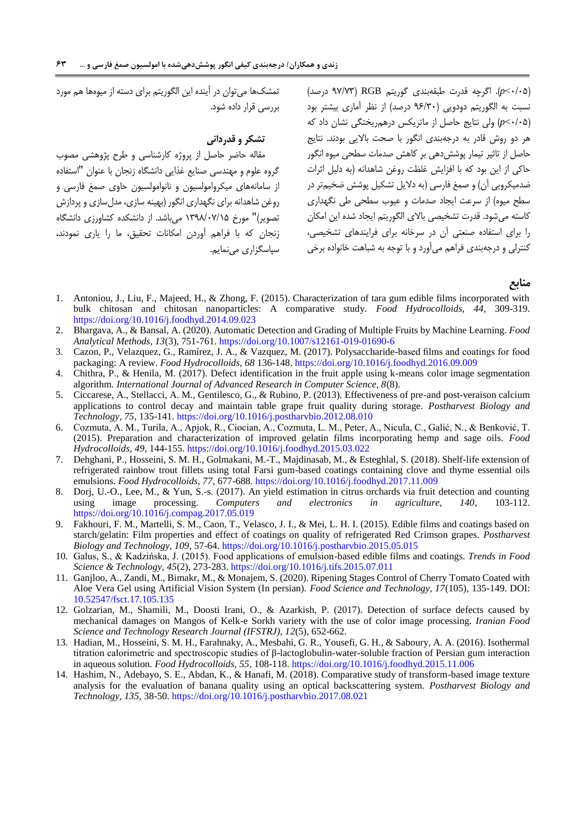بررسی قرار داده شود.

**تشکر و قدردانی**

سپاسگزاری می نمایم.

تمشکها میتوان در آینده این الگوریتم برای دسته از میوهها هم مورد

مقاله حاضر حاصل از پروژه کارشناسی و طرح پژوهشی مصوب گروه علوم و مهندسی صنایع غذایی دانشگاه زنجان با عنوان "استفاده از سامانههای میکروامولسیون و نانوامولسیون حاوی صمغ فارسی و روغن شاهدانه برای نگهداری انگور )بهینه سازی، مدلسازی و پردازش تصویر(" مورخ 1372/57/15 میباشد. از دانشکده کشاورزی دانشگاه زنجان که با فراهم آوردن امکانات تحقیق، ما را یاری نمودند، )5/55˂*p*). اگرچه قدرت طبقهبندی گوریتم RGB( 77/73 درصد( نسبت به الگوریتم دودویی )76/35 درصد( از نظر آماری بیشتر بود )5/55˂*p* )ولی نتایج حاصل از ماتریکس درهمریختگی نشان داد که هر دو روش قادر به درجهبندی انگور با صحت باالیی بودند. نتایج حاصل از تاثیر تیمار پوششدهی بر کاهش صدمات سطحی میوه انگور حاکی از این بود که با افزایش غلظت روغن شاهدانه )به دلیل اثرات ضدمیکروبی آن) و صمغ فارسی (به دلایل تشکیل پوشش ضخیمتر در سطح میوه) از سرعت ایجاد صدمات و عیوب سطحی طی نگهداری کاسته میشود. قدرت تشخیصی باالی الگوریتم ایجاد شده این امکان را برای استفاده صنعتی آن در سرخانه برای فرایندهای تشخیصی، کنترلی و درجهبندی فراهم میآورد و با توجه به شباهت خانواده برخی

**منابع**

- <span id="page-12-1"></span>1. Antoniou, J., Liu, F., Majeed, H., & Zhong, F. (2015). Characterization of tara gum edible films incorporated with bulk chitosan and chitosan nanoparticles: A comparative study. *Food Hydrocolloids, 44*, 309-319. <https://doi.org/10.1016/j.foodhyd.2014.09.023>
- <span id="page-12-7"></span>2. Bhargava, A., & Bansal, A. (2020). Automatic Detection and Grading of Multiple Fruits by Machine Learning. *Food Analytical Methods, 13*(3), 751-761[. https://doi.org/10.1007/s12161-019-01690-6](https://doi.org/10.1007/s12161-019-01690-6)
- <span id="page-12-2"></span>3. Cazon, P., Velazquez, G., Ramírez, J. A., & Vazquez, M. (2017). Polysaccharide-based films and coatings for food packaging: A review. *Food Hydrocolloids, 68* 136-148. <https://doi.org/10.1016/j.foodhyd.2016.09.009>
- <span id="page-12-12"></span>4. Chithra, P., & Henila, M. (2017). Defect identification in the fruit apple using k-means color image segmentation algorithm. *International Journal of Advanced Research in Computer Science, 8*(8).
- <span id="page-12-0"></span>5. Ciccarese, A., Stellacci, A. M., Gentilesco, G., & Rubino, P. (2013). Effectiveness of pre-and post-veraison calcium applications to control decay and maintain table grape fruit quality during storage. *Postharvest Biology and Technology, 75*, 135-141[. https://doi.org/10.1016/j.postharvbio.2012.08.010](https://doi.org/10.1016/j.postharvbio.2012.08.010)
- <span id="page-12-6"></span>6. Cozmuta, A. M., Turila, A., Apjok, R., Ciocian, A., Cozmuta, L. M., Peter, A., Nicula, C., Galić, N., & Benković, T. (2015). Preparation and characterization of improved gelatin films incorporating hemp and sage oils. *Food Hydrocolloids, 49*, 144-155.<https://doi.org/10.1016/j.foodhyd.2015.03.022>
- <span id="page-12-8"></span>7. Dehghani, P., Hosseini, S. M. H., Golmakani, M.-T., Majdinasab, M., & Esteghlal, S. (2018). Shelf-life extension of refrigerated rainbow trout fillets using total Farsi gum-based coatings containing clove and thyme essential oils emulsions. *Food Hydrocolloids, 77*, 677-688[. https://doi.org/10.1016/j.foodhyd.2017.11.009](https://doi.org/10.1016/j.foodhyd.2017.11.009)
- <span id="page-12-9"></span>8. Dorj, U.-O., Lee, M., & Yun, S.-s. (2017). An yield estimation in citrus orchards via fruit detection and counting using image processing. *Computers and electronics in agriculture, 140*, 103-112. <https://doi.org/10.1016/j.compag.2017.05.019>
- <span id="page-12-3"></span>9. Fakhouri, F. M., Martelli, S. M., Caon, T., Velasco, J. I., & Mei, L. H. I. (2015). Edible films and coatings based on starch/gelatin: Film properties and effect of coatings on quality of refrigerated Red Crimson grapes. *Postharvest Biology and Technology, 109*, 57-64.<https://doi.org/10.1016/j.postharvbio.2015.05.015>
- <span id="page-12-4"></span>10. Galus, S., & Kadzińska, J. (2015). Food applications of emulsion-based edible films and coatings. *Trends in Food Science & Technology, 45*(2), 273-283[. https://doi.org/10.1016/j.tifs.2015.07.011](https://doi.org/10.1016/j.tifs.2015.07.011)
- <span id="page-12-13"></span>11. Ganjloo, A., Zandi, M., Bimakr, M., & Monajem, S. (2020). Ripening Stages Control of Cherry Tomato Coated with Aloe Vera Gel using Artificial Vision System (In persian). *Food Science and Technology, 17*(105), 135-149. DOI: [10.52547/fsct.17.105.135](http://dx.doi.org/10.52547/fsct.17.105.135)
- <span id="page-12-11"></span>12. Golzarian, M., Shamili, M., Doosti Irani, O., & Azarkish, P. (2017). Detection of surface defects caused by mechanical damages on Mangos of Kelk-e Sorkh variety with the use of color image processing. *Iranian Food Science and Technology Research Journal (IFSTRJ), 12*(5), 652-662.
- <span id="page-12-5"></span>13. Hadian, M., Hosseini, S. M. H., Farahnaky, A., Mesbahi, G. R., Yousefi, G. H., & Saboury, A. A. (2016). Isothermal titration calorimetric and spectroscopic studies of β-lactoglobulin-water-soluble fraction of Persian gum interaction in aqueous solution. *Food Hydrocolloids, 55*, 108-118[. https://doi.org/10.1016/j.foodhyd.2015.11.006](https://doi.org/10.1016/j.foodhyd.2015.11.006)
- <span id="page-12-10"></span>14. Hashim, N., Adebayo, S. E., Abdan, K., & Hanafi, M. (2018). Comparative study of transform-based image texture analysis for the evaluation of banana quality using an optical backscattering system. *Postharvest Biology and Technology, 135*, 38-50[. https://doi.org/10.1016/j.postharvbio.2017.08.021](https://doi.org/10.1016/j.postharvbio.2017.08.021)